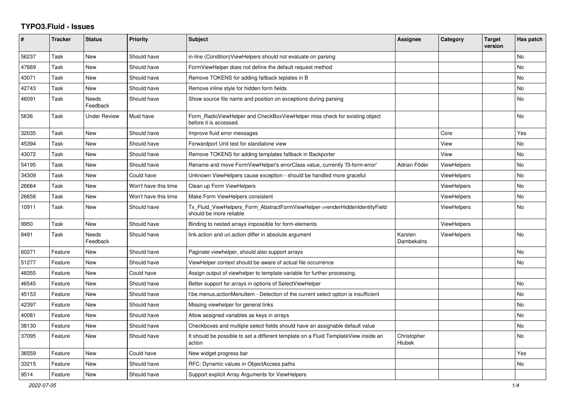## **TYPO3.Fluid - Issues**

| #     | <b>Tracker</b> | <b>Status</b>            | <b>Priority</b>      | Subject                                                                                                | <b>Assignee</b>       | Category           | <b>Target</b><br>version | Has patch |
|-------|----------------|--------------------------|----------------------|--------------------------------------------------------------------------------------------------------|-----------------------|--------------------|--------------------------|-----------|
| 56237 | Task           | <b>New</b>               | Should have          | in-line (Condition) ViewHelpers should not evaluate on parsing                                         |                       |                    |                          | <b>No</b> |
| 47669 | Task           | New                      | Should have          | FormViewHelper does not define the default request method                                              |                       |                    |                          | No        |
| 43071 | Task           | New                      | Should have          | Remove TOKENS for adding fallback teplates in B                                                        |                       |                    |                          | No        |
| 42743 | Task           | New                      | Should have          | Remove inline style for hidden form fields                                                             |                       |                    |                          | No        |
| 46091 | Task           | <b>Needs</b><br>Feedback | Should have          | Show source file name and position on exceptions during parsing                                        |                       |                    |                          | No        |
| 5636  | Task           | <b>Under Review</b>      | Must have            | Form_RadioViewHelper and CheckBoxViewHelper miss check for existing object<br>before it is accessed.   |                       |                    |                          | <b>No</b> |
| 32035 | Task           | <b>New</b>               | Should have          | Improve fluid error messages                                                                           |                       | Core               |                          | Yes       |
| 45394 | Task           | New                      | Should have          | Forwardport Unit test for standalone view                                                              |                       | View               |                          | No        |
| 43072 | Task           | New                      | Should have          | Remove TOKENS for adding templates fallback in Backporter                                              |                       | View               |                          | <b>No</b> |
| 54195 | Task           | New                      | Should have          | Rename and move FormViewHelper's errorClass value, currently 'f3-form-error'                           | Adrian Föder          | ViewHelpers        |                          | No.       |
| 34309 | Task           | <b>New</b>               | Could have           | Unknown ViewHelpers cause exception - should be handled more graceful                                  |                       | ViewHelpers        |                          | No        |
| 26664 | Task           | New                      | Won't have this time | Clean up Form ViewHelpers                                                                              |                       | <b>ViewHelpers</b> |                          | No        |
| 26658 | Task           | <b>New</b>               | Won't have this time | Make Form ViewHelpers consistent                                                                       |                       | <b>ViewHelpers</b> |                          | No.       |
| 10911 | Task           | <b>New</b>               | Should have          | Tx Fluid ViewHelpers Form AbstractFormViewHelper->renderHiddenIdentityField<br>should be more reliable |                       | <b>ViewHelpers</b> |                          | <b>No</b> |
| 9950  | Task           | <b>New</b>               | Should have          | Binding to nested arrays impossible for form-elements                                                  |                       | ViewHelpers        |                          |           |
| 8491  | Task           | Needs<br>Feedback        | Should have          | link action and uri action differ in absolute argument                                                 | Karsten<br>Dambekalns | ViewHelpers        |                          | No        |
| 60271 | Feature        | New                      | Should have          | Paginate viewhelper, should also support arrays                                                        |                       |                    |                          | No        |
| 51277 | Feature        | New                      | Should have          | ViewHelper context should be aware of actual file occurrence                                           |                       |                    |                          | <b>No</b> |
| 48355 | Feature        | New                      | Could have           | Assign output of viewhelper to template variable for further processing.                               |                       |                    |                          |           |
| 46545 | Feature        | New                      | Should have          | Better support for arrays in options of SelectViewHelper                                               |                       |                    |                          | No        |
| 45153 | Feature        | New                      | Should have          | f:be.menus.actionMenuItem - Detection of the current select option is insufficient                     |                       |                    |                          | No        |
| 42397 | Feature        | <b>New</b>               | Should have          | Missing viewhelper for general links                                                                   |                       |                    |                          | No        |
| 40081 | Feature        | New                      | Should have          | Allow assigned variables as keys in arrays                                                             |                       |                    |                          | No        |
| 38130 | Feature        | New                      | Should have          | Checkboxes and multiple select fields should have an assignable default value                          |                       |                    |                          | No        |
| 37095 | Feature        | New                      | Should have          | It should be possible to set a different template on a Fluid TemplateView inside an<br>action          | Christopher<br>Hlubek |                    |                          | No        |
| 36559 | Feature        | New                      | Could have           | New widget progress bar                                                                                |                       |                    |                          | Yes       |
| 33215 | Feature        | New                      | Should have          | RFC: Dynamic values in ObjectAccess paths                                                              |                       |                    |                          | No        |
| 9514  | Feature        | <b>New</b>               | Should have          | Support explicit Array Arguments for ViewHelpers                                                       |                       |                    |                          |           |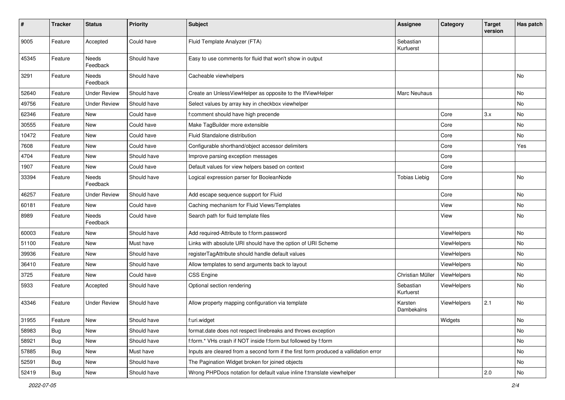| $\pmb{\#}$ | <b>Tracker</b> | <b>Status</b>       | <b>Priority</b> | <b>Subject</b>                                                                       | <b>Assignee</b>        | Category    | <b>Target</b><br>version | Has patch |
|------------|----------------|---------------------|-----------------|--------------------------------------------------------------------------------------|------------------------|-------------|--------------------------|-----------|
| 9005       | Feature        | Accepted            | Could have      | Fluid Template Analyzer (FTA)                                                        | Sebastian<br>Kurfuerst |             |                          |           |
| 45345      | Feature        | Needs<br>Feedback   | Should have     | Easy to use comments for fluid that won't show in output                             |                        |             |                          |           |
| 3291       | Feature        | Needs<br>Feedback   | Should have     | Cacheable viewhelpers                                                                |                        |             |                          | No        |
| 52640      | Feature        | <b>Under Review</b> | Should have     | Create an UnlessViewHelper as opposite to the IfViewHelper                           | <b>Marc Neuhaus</b>    |             |                          | No        |
| 49756      | Feature        | <b>Under Review</b> | Should have     | Select values by array key in checkbox viewhelper                                    |                        |             |                          | No        |
| 62346      | Feature        | New                 | Could have      | f:comment should have high precende                                                  |                        | Core        | 3.x                      | No        |
| 30555      | Feature        | New                 | Could have      | Make TagBuilder more extensible                                                      |                        | Core        |                          | No        |
| 10472      | Feature        | New                 | Could have      | Fluid Standalone distribution                                                        |                        | Core        |                          | No        |
| 7608       | Feature        | New                 | Could have      | Configurable shorthand/object accessor delimiters                                    |                        | Core        |                          | Yes       |
| 4704       | Feature        | New                 | Should have     | Improve parsing exception messages                                                   |                        | Core        |                          |           |
| 1907       | Feature        | New                 | Could have      | Default values for view helpers based on context                                     |                        | Core        |                          |           |
| 33394      | Feature        | Needs<br>Feedback   | Should have     | Logical expression parser for BooleanNode                                            | Tobias Liebig          | Core        |                          | No        |
| 46257      | Feature        | <b>Under Review</b> | Should have     | Add escape sequence support for Fluid                                                |                        | Core        |                          | No        |
| 60181      | Feature        | New                 | Could have      | Caching mechanism for Fluid Views/Templates                                          |                        | View        |                          | No        |
| 8989       | Feature        | Needs<br>Feedback   | Could have      | Search path for fluid template files                                                 |                        | View        |                          | No        |
| 60003      | Feature        | New                 | Should have     | Add required-Attribute to f:form.password                                            |                        | ViewHelpers |                          | No        |
| 51100      | Feature        | New                 | Must have       | Links with absolute URI should have the option of URI Scheme                         |                        | ViewHelpers |                          | No.       |
| 39936      | Feature        | New                 | Should have     | registerTagAttribute should handle default values                                    |                        | ViewHelpers |                          | No        |
| 36410      | Feature        | New                 | Should have     | Allow templates to send arguments back to layout                                     |                        | ViewHelpers |                          | No        |
| 3725       | Feature        | <b>New</b>          | Could have      | CSS Engine                                                                           | Christian Müller       | ViewHelpers |                          | No        |
| 5933       | Feature        | Accepted            | Should have     | Optional section rendering                                                           | Sebastian<br>Kurfuerst | ViewHelpers |                          | No        |
| 43346      | Feature        | <b>Under Review</b> | Should have     | Allow property mapping configuration via template                                    | Karsten<br>Dambekalns  | ViewHelpers | 2.1                      | No        |
| 31955      | Feature        | New                 | Should have     | f:uri.widget                                                                         |                        | Widgets     |                          | No        |
| 58983      | <b>Bug</b>     | New                 | Should have     | format.date does not respect linebreaks and throws exception                         |                        |             |                          | No        |
| 58921      | <b>Bug</b>     | New                 | Should have     | f:form.* VHs crash if NOT inside f:form but followed by f:form                       |                        |             |                          | No        |
| 57885      | Bug            | New                 | Must have       | Inputs are cleared from a second form if the first form produced a vallidation error |                        |             |                          | No        |
| 52591      | <b>Bug</b>     | New                 | Should have     | The Pagination Widget broken for joined objects                                      |                        |             |                          | No        |
| 52419      | <b>Bug</b>     | New                 | Should have     | Wrong PHPDocs notation for default value inline f:translate viewhelper               |                        |             | 2.0                      | No        |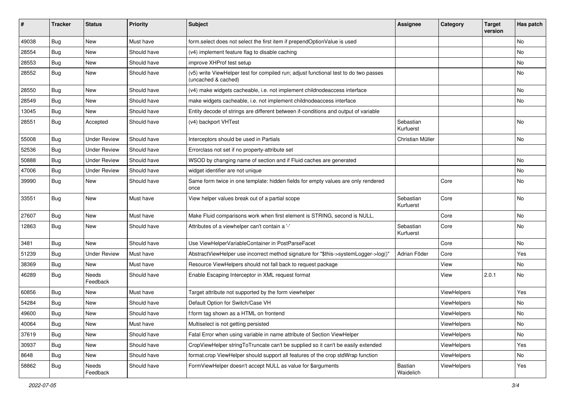| #     | <b>Tracker</b> | <b>Status</b>       | <b>Priority</b> | <b>Subject</b>                                                                                              | <b>Assignee</b>        | Category    | <b>Target</b><br>version | Has patch |
|-------|----------------|---------------------|-----------------|-------------------------------------------------------------------------------------------------------------|------------------------|-------------|--------------------------|-----------|
| 49038 | Bug            | <b>New</b>          | Must have       | form.select does not select the first item if prependOptionValue is used                                    |                        |             |                          | <b>No</b> |
| 28554 | Bug            | New                 | Should have     | (v4) implement feature flag to disable caching                                                              |                        |             |                          | No        |
| 28553 | Bug            | New                 | Should have     | improve XHProf test setup                                                                                   |                        |             |                          | No        |
| 28552 | Bug            | New                 | Should have     | (v5) write ViewHelper test for compiled run; adjust functional test to do two passes<br>(uncached & cached) |                        |             |                          | No        |
| 28550 | Bug            | New                 | Should have     | (v4) make widgets cacheable, i.e. not implement childnodeaccess interface                                   |                        |             |                          | <b>No</b> |
| 28549 | Bug            | New                 | Should have     | make widgets cacheable, i.e. not implement childnodeaccess interface                                        |                        |             |                          | No        |
| 13045 | Bug            | New                 | Should have     | Entity decode of strings are different between if-conditions and output of variable                         |                        |             |                          |           |
| 28551 | Bug            | Accepted            | Should have     | (v4) backport VHTest                                                                                        | Sebastian<br>Kurfuerst |             |                          | <b>No</b> |
| 55008 | Bug            | <b>Under Review</b> | Should have     | Interceptors should be used in Partials                                                                     | Christian Müller       |             |                          | No        |
| 52536 | Bug            | <b>Under Review</b> | Should have     | Errorclass not set if no property-attribute set                                                             |                        |             |                          |           |
| 50888 | Bug            | <b>Under Review</b> | Should have     | WSOD by changing name of section and if Fluid caches are generated                                          |                        |             |                          | <b>No</b> |
| 47006 | <b>Bug</b>     | Under Review        | Should have     | widget identifier are not unique                                                                            |                        |             |                          | <b>No</b> |
| 39990 | Bug            | New                 | Should have     | Same form twice in one template: hidden fields for empty values are only rendered<br>once                   |                        | Core        |                          | No        |
| 33551 | <b>Bug</b>     | <b>New</b>          | Must have       | View helper values break out of a partial scope                                                             | Sebastian<br>Kurfuerst | Core        |                          | <b>No</b> |
| 27607 | Bug            | <b>New</b>          | Must have       | Make Fluid comparisons work when first element is STRING, second is NULL.                                   |                        | Core        |                          | <b>No</b> |
| 12863 | Bug            | New                 | Should have     | Attributes of a viewhelper can't contain a '-'                                                              | Sebastian<br>Kurfuerst | Core        |                          | <b>No</b> |
| 3481  | Bug            | New                 | Should have     | Use ViewHelperVariableContainer in PostParseFacet                                                           |                        | Core        |                          | No        |
| 51239 | Bug            | <b>Under Review</b> | Must have       | AbstractViewHelper use incorrect method signature for "\$this->systemLogger->log()"                         | Adrian Föder           | Core        |                          | Yes       |
| 38369 | Bug            | New                 | Must have       | Resource ViewHelpers should not fall back to request package                                                |                        | View        |                          | No        |
| 46289 | Bug            | Needs<br>Feedback   | Should have     | Enable Escaping Interceptor in XML request format                                                           |                        | View        | 2.0.1                    | No        |
| 60856 | <b>Bug</b>     | New                 | Must have       | Target attribute not supported by the form viewhelper                                                       |                        | ViewHelpers |                          | Yes       |
| 54284 | <b>Bug</b>     | New                 | Should have     | Default Option for Switch/Case VH                                                                           |                        | ViewHelpers |                          | No        |
| 49600 | <b>Bug</b>     | New                 | Should have     | f:form tag shown as a HTML on frontend                                                                      |                        | ViewHelpers |                          | No        |
| 40064 | <b>Bug</b>     | New                 | Must have       | Multiselect is not getting persisted                                                                        |                        | ViewHelpers |                          | No        |
| 37619 | Bug            | New                 | Should have     | Fatal Error when using variable in name attribute of Section ViewHelper                                     |                        | ViewHelpers |                          | No        |
| 30937 | Bug            | New                 | Should have     | CropViewHelper stringToTruncate can't be supplied so it can't be easily extended                            |                        | ViewHelpers |                          | Yes       |
| 8648  | Bug            | New                 | Should have     | format.crop ViewHelper should support all features of the crop stdWrap function                             |                        | ViewHelpers |                          | No        |
| 58862 | <b>Bug</b>     | Needs<br>Feedback   | Should have     | FormViewHelper doesn't accept NULL as value for \$arguments                                                 | Bastian<br>Waidelich   | ViewHelpers |                          | Yes       |